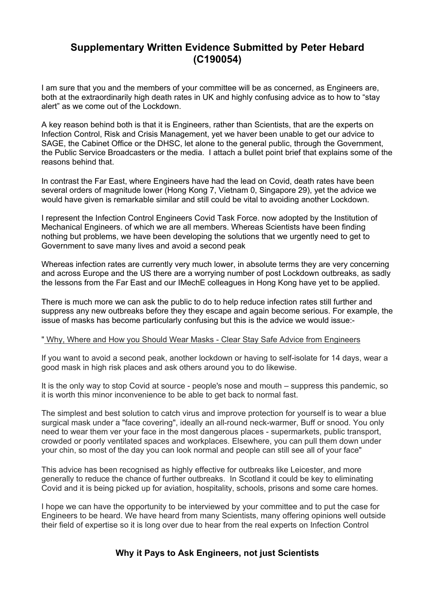# **Supplementary Written Evidence Submitted by Peter Hebard (C190054)**

I am sure that you and the members of your committee will be as concerned, as Engineers are, both at the extraordinarily high death rates in UK and highly confusing advice as to how to "stay alert" as we come out of the Lockdown.

A key reason behind both is that it is Engineers, rather than Scientists, that are the experts on Infection Control, Risk and Crisis Management, yet we haver been unable to get our advice to SAGE, the Cabinet Office or the DHSC, let alone to the general public, through the Government, the Public Service Broadcasters or the media. I attach a bullet point brief that explains some of the reasons behind that.

In contrast the Far East, where Engineers have had the lead on Covid, death rates have been several orders of magnitude lower (Hong Kong 7, Vietnam 0, Singapore 29), yet the advice we would have given is remarkable similar and still could be vital to avoiding another Lockdown.

I represent the Infection Control Engineers Covid Task Force. now adopted by the Institution of Mechanical Engineers. of which we are all members. Whereas Scientists have been finding nothing but problems, we have been developing the solutions that we urgently need to get to Government to save many lives and avoid a second peak

Whereas infection rates are currently very much lower, in absolute terms they are very concerning and across Europe and the US there are a worrying number of post Lockdown outbreaks, as sadly the lessons from the Far East and our IMechE colleagues in Hong Kong have yet to be applied.

There is much more we can ask the public to do to help reduce infection rates still further and suppress any new outbreaks before they they escape and again become serious. For example, the issue of masks has become particularly confusing but this is the advice we would issue:-

#### " Why, Where and How you Should Wear Masks - Clear Stay Safe Advice from Engineers

If you want to avoid a second peak, another lockdown or having to self-isolate for 14 days, wear a good mask in high risk places and ask others around you to do likewise.

It is the only way to stop Covid at source - people's nose and mouth – suppress this pandemic, so it is worth this minor inconvenience to be able to get back to normal fast.

The simplest and best solution to catch virus and improve protection for yourself is to wear a blue surgical mask under a "face covering", ideally an all-round neck-warmer, Buff or snood. You only need to wear them ver your face in the most dangerous places - supermarkets, public transport, crowded or poorly ventilated spaces and workplaces. Elsewhere, you can pull them down under your chin, so most of the day you can look normal and people can still see all of your face"

This advice has been recognised as highly effective for outbreaks like Leicester, and more generally to reduce the chance of further outbreaks. In Scotland it could be key to eliminating Covid and it is being picked up for aviation, hospitality, schools, prisons and some care homes.

I hope we can have the opportunity to be interviewed by your committee and to put the case for Engineers to be heard. We have heard from many Scientists, many offering opinions well outside their field of expertise so it is long over due to hear from the real experts on Infection Control

## **Why it Pays to Ask Engineers, not just Scientists**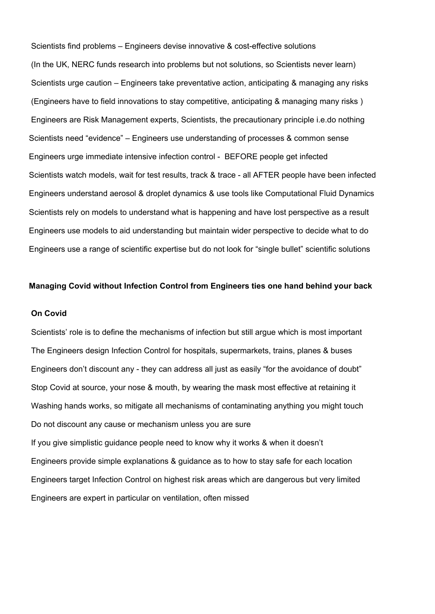Scientists find problems – Engineers devise innovative & cost-effective solutions (In the UK, NERC funds research into problems but not solutions, so Scientists never learn) Scientists urge caution – Engineers take preventative action, anticipating & managing any risks (Engineers have to field innovations to stay competitive, anticipating & managing many risks ) Engineers are Risk Management experts, Scientists, the precautionary principle i.e.do nothing Scientists need "evidence" – Engineers use understanding of processes & common sense Engineers urge immediate intensive infection control - BEFORE people get infected Scientists watch models, wait for test results, track & trace - all AFTER people have been infected Engineers understand aerosol & droplet dynamics & use tools like Computational Fluid Dynamics Scientists rely on models to understand what is happening and have lost perspective as a result Engineers use models to aid understanding but maintain wider perspective to decide what to do Engineers use a range of scientific expertise but do not look for "single bullet" scientific solutions

#### **Managing Covid without Infection Control from Engineers ties one hand behind your back**

#### **On Covid**

Scientists' role is to define the mechanisms of infection but still argue which is most important The Engineers design Infection Control for hospitals, supermarkets, trains, planes & buses Engineers don't discount any - they can address all just as easily "for the avoidance of doubt" Stop Covid at source, your nose & mouth, by wearing the mask most effective at retaining it Washing hands works, so mitigate all mechanisms of contaminating anything you might touch Do not discount any cause or mechanism unless you are sure If you give simplistic guidance people need to know why it works & when it doesn't Engineers provide simple explanations & guidance as to how to stay safe for each location Engineers target Infection Control on highest risk areas which are dangerous but very limited Engineers are expert in particular on ventilation, often missed